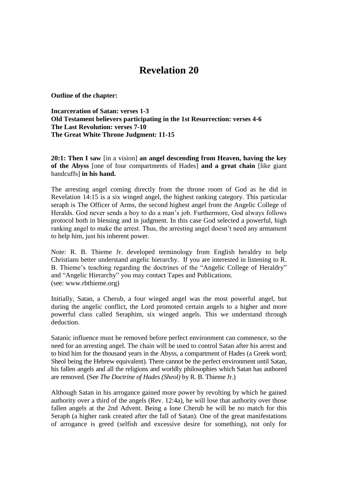## **Revelation 20**

**Outline of the chapter:**

**Incarceration of Satan: verses 1-3 Old Testament believers participating in the 1st Resurrection: verses 4-6 The Last Revolution: verses 7-10 The Great White Throne Judgment: 11-15**

**20:1: Then I saw** [in a vision] **an angel descending from Heaven, having the key of the Abyss** [one of four compartments of Hades] **and a great chain** [like giant handcuffs] **in his hand.** 

The arresting angel coming directly from the throne room of God as he did in Revelation 14:15 is a six winged angel, the highest ranking category. This particular seraph is The Officer of Arms, the second highest angel from the Angelic College of Heralds. God never sends a boy to do a man"s job. Furthermore, God always follows protocol both in blessing and in judgment. In this case God selected a powerful, high ranking angel to make the arrest. Thus, the arresting angel doesn"t need any armament to help him, just his inherent power.

Note: R. B. Thieme Jr. developed terminology from English heraldry to help Christians better understand angelic hierarchy. If you are interested in listening to R. B. Thieme"s teaching regarding the doctrines of the "Angelic College of Heraldry" and "Angelic Hierarchy" you may contact Tapes and Publications. (see: www.rbthieme.org)

Initially, Satan, a Cherub, a four winged angel was the most powerful angel, but during the angelic conflict, the Lord promoted certain angels to a higher and more powerful class called Seraphim, six winged angels. This we understand through deduction.

Satanic influence must be removed before perfect environment can commence, so the need for an arresting angel. The chain will be used to control Satan after his arrest and to bind him for the thousand years in the Abyss, a compartment of Hades (a Greek word; Sheol being the Hebrew equivalent). There cannot be the perfect environment until Satan, his fallen angels and all the religions and worldly philosophies which Satan has authored are removed. (See *The Doctrine of Hades (Sheol)* by R. B. Thieme Jr.)

Although Satan in his arrogance gained more power by revolting by which he gained authority over a third of the angels (Rev. 12:4a), he will lose that authority over those fallen angels at the 2nd Advent. Being a lone Cherub he will be no match for this Seraph (a higher rank created after the fall of Satan). One of the great manifestations of arrogance is greed (selfish and excessive desire for something), not only for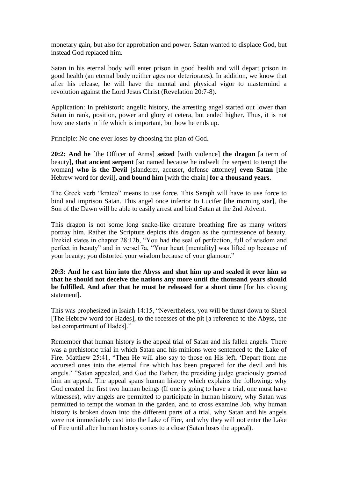monetary gain, but also for approbation and power. Satan wanted to displace God, but instead God replaced him.

Satan in his eternal body will enter prison in good health and will depart prison in good health (an eternal body neither ages nor deteriorates). In addition, we know that after his release, he will have the mental and physical vigor to mastermind a revolution against the Lord Jesus Christ (Revelation 20:7-8).

Application: In prehistoric angelic history, the arresting angel started out lower than Satan in rank, position, power and glory et cetera, but ended higher. Thus, it is not how one starts in life which is important, but how he ends up.

Principle: No one ever loses by choosing the plan of God.

**20:2: And he** [the Officer of Arms] **seized** [with violence] **the dragon** [a term of beauty]**, that ancient serpent** [so named because he indwelt the serpent to tempt the woman] **who is the Devil** [slanderer, accuser, defense attorney] **even Satan** [the Hebrew word for devil]**, and bound him** [with the chain] **for a thousand years.** 

The Greek verb "krateo" means to use force. This Seraph will have to use force to bind and imprison Satan. This angel once inferior to Lucifer [the morning star], the Son of the Dawn will be able to easily arrest and bind Satan at the 2nd Advent.

This dragon is not some long snake-like creature breathing fire as many writers portray him. Rather the Scripture depicts this dragon as the quintessence of beauty. Ezekiel states in chapter 28:12b, "You had the seal of perfection, full of wisdom and perfect in beauty" and in verse17a, "Your heart [mentality] was lifted up because of your beauty; you distorted your wisdom because of your glamour."

## **20:3: And he cast him into the Abyss and shut him up and sealed it over him so that he should not deceive the nations any more until the thousand years should be fulfilled. And after that he must be released for a short time** [for his closing statement].

This was prophesized in Isaiah 14:15, "Nevertheless, you will be thrust down to Sheol [The Hebrew word for Hades], to the recesses of the pit [a reference to the Abyss, the last compartment of Hades]."

Remember that human history is the appeal trial of Satan and his fallen angels. There was a prehistoric trial in which Satan and his minions were sentenced to the Lake of Fire. Matthew 25:41, "Then He will also say to those on His left, "Depart from me accursed ones into the eternal fire which has been prepared for the devil and his angels." "Satan appealed, and God the Father, the presiding judge graciously granted him an appeal. The appeal spans human history which explains the following: why God created the first two human beings (If one is going to have a trial, one must have witnesses), why angels are permitted to participate in human history, why Satan was permitted to tempt the woman in the garden, and to cross examine Job, why human history is broken down into the different parts of a trial, why Satan and his angels were not immediately cast into the Lake of Fire, and why they will not enter the Lake of Fire until after human history comes to a close (Satan loses the appeal).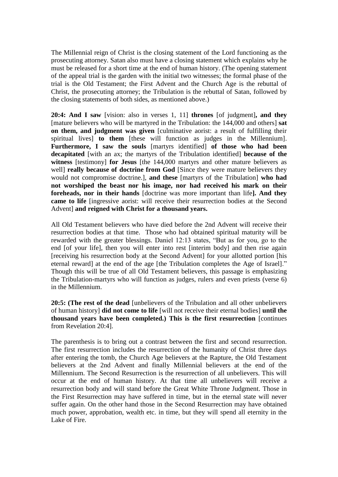The Millennial reign of Christ is the closing statement of the Lord functioning as the prosecuting attorney. Satan also must have a closing statement which explains why he must be released for a short time at the end of human history. (The opening statement of the appeal trial is the garden with the initial two witnesses; the formal phase of the trial is the Old Testament; the First Advent and the Church Age is the rebuttal of Christ, the prosecuting attorney; the Tribulation is the rebuttal of Satan, followed by the closing statements of both sides, as mentioned above.)

**20:4: And I saw** [vision: also in verses 1, 11] **thrones** [of judgment]**, and they** [mature believers who will be martyred in the Tribulation: the 144,000 and others] **sat on them, and judgment was given** [culminative aorist: a result of fulfilling their spiritual lives] **to them** [these will function as judges in the Millennium]. **Furthermore, I saw the souls** [martyrs identified] **of those who had been decapitated** [with an ax; the martyrs of the Tribulation identified] **because of the witness** [testimony] **for Jesus** [the 144,000 martyrs and other mature believers as well] **really because of doctrine from God** [Since they were mature believers they would not compromise doctrine.], **and these** [martyrs of the Tribulation] **who had not worshiped the beast nor his image, nor had received his mark on their foreheads, nor in their hands** [doctrine was more important than life**]. And they came to life** [ingressive aorist: will receive their resurrection bodies at the Second Advent] **and reigned with Christ for a thousand years.** 

All Old Testament believers who have died before the 2nd Advent will receive their resurrection bodies at that time. Those who had obtained spiritual maturity will be rewarded with the greater blessings. Daniel 12:13 states, "But as for you, go to the end [of your life], then you will enter into rest [interim body] and then rise again [receiving his resurrection body at the Second Advent] for your allotted portion [his eternal reward] at the end of the age [the Tribulation completes the Age of Israel]." Though this will be true of all Old Testament believers, this passage is emphasizing the Tribulation-martyrs who will function as judges, rulers and even priests (verse 6) in the Millennium.

**20:5: (The rest of the dead** [unbelievers of the Tribulation and all other unbelievers of human history] **did not come to life** [will not receive their eternal bodies] **until the thousand years have been completed.) This is the first resurrection** [continues from Revelation 20:4].

The parenthesis is to bring out a contrast between the first and second resurrection. The first resurrection includes the resurrection of the humanity of Christ three days after entering the tomb, the Church Age believers at the Rapture, the Old Testament believers at the 2nd Advent and finally Millennial believers at the end of the Millennium. The Second Resurrection is the resurrection of all unbelievers. This will occur at the end of human history. At that time all unbelievers will receive a resurrection body and will stand before the Great White Throne Judgment. Those in the First Resurrection may have suffered in time, but in the eternal state will never suffer again. On the other hand those in the Second Resurrection may have obtained much power, approbation, wealth etc. in time, but they will spend all eternity in the Lake of Fire.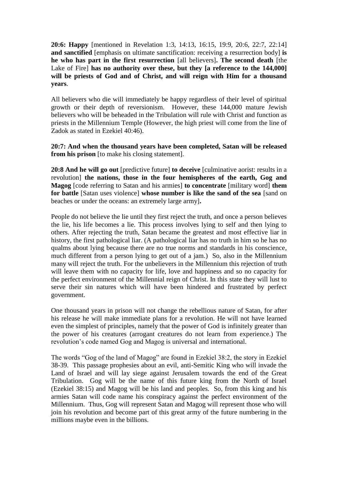**20:6: Happy** [mentioned in Revelation 1:3, 14:13, 16:15, 19:9, 20:6, 22:7, 22:14] **and sanctified** [emphasis on ultimate sanctification: receiving a resurrection body] **is he who has part in the first resurrection** [all believers]**. The second death** [the Lake of Fire] has no authority over these, but they [a reference to the 144,000] **will be priests of God and of Christ, and will reign with Him for a thousand years**.

All believers who die will immediately be happy regardless of their level of spiritual growth or their depth of reversionism. However, these 144,000 mature Jewish believers who will be beheaded in the Tribulation will rule with Christ and function as priests in the Millennium Temple (However, the high priest will come from the line of Zadok as stated in Ezekiel 40:46).

**20:7: And when the thousand years have been completed, Satan will be released from his prison** [to make his closing statement].

**20:8 And he will go out** [predictive future] **to deceive** [culminative aorist: results in a revolution] **the nations, those in the four hemispheres of the earth, Gog and Magog** [code referring to Satan and his armies] **to concentrate** [military word] **them for battle** [Satan uses violence] **whose number is like the sand of the sea** [sand on beaches or under the oceans: an extremely large army]**.**

People do not believe the lie until they first reject the truth, and once a person believes the lie, his life becomes a lie. This process involves lying to self and then lying to others. After rejecting the truth, Satan became the greatest and most effective liar in history, the first pathological liar. (A pathological liar has no truth in him so he has no qualms about lying because there are no true norms and standards in his conscience, much different from a person lying to get out of a jam.) So, also in the Millennium many will reject the truth. For the unbelievers in the Millennium this rejection of truth will leave them with no capacity for life, love and happiness and so no capacity for the perfect environment of the Millennial reign of Christ. In this state they will lust to serve their sin natures which will have been hindered and frustrated by perfect government.

One thousand years in prison will not change the rebellious nature of Satan, for after his release he will make immediate plans for a revolution. He will not have learned even the simplest of principles, namely that the power of God is infinitely greater than the power of his creatures (arrogant creatures do not learn from experience.) The revolution"s code named Gog and Magog is universal and international.

The words "Gog of the land of Magog" are found in Ezekiel 38:2, the story in Ezekiel 38-39. This passage prophesies about an evil, anti-Semitic King who will invade the Land of Israel and will lay siege against Jerusalem towards the end of the Great Tribulation. Gog will be the name of this future king from the North of Israel (Ezekiel 38:15) and Magog will be his land and peoples. So, from this king and his armies Satan will code name his conspiracy against the perfect environment of the Millennium. Thus, Gog will represent Satan and Magog will represent those who will join his revolution and become part of this great army of the future numbering in the millions maybe even in the billions.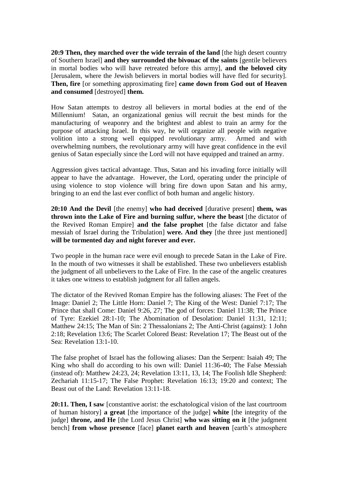**20:9 Then, they marched over the wide terrain of the land** [the high desert country of Southern Israel] **and they surrounded the bivouac of the saints** [gentile believers in mortal bodies who will have retreated before this army], **and the beloved city**  [Jerusalem, where the Jewish believers in mortal bodies will have fled for security]. **Then, fire** [or something approximating fire] **came down from God out of Heaven and consumed** [destroyed] **them.** 

How Satan attempts to destroy all believers in mortal bodies at the end of the Millennium! Satan, an organizational genius will recruit the best minds for the manufacturing of weaponry and the brightest and ablest to train an army for the purpose of attacking Israel. In this way, he will organize all people with negative volition into a strong well equipped revolutionary army. Armed and with overwhelming numbers, the revolutionary army will have great confidence in the evil genius of Satan especially since the Lord will not have equipped and trained an army.

Aggression gives tactical advantage. Thus, Satan and his invading force initially will appear to have the advantage. However, the Lord, operating under the principle of using violence to stop violence will bring fire down upon Satan and his army, bringing to an end the last ever conflict of both human and angelic history.

**20:10 And the Devil** [the enemy] **who had deceived** [durative present] **them, was thrown into the Lake of Fire and burning sulfur, where the beast** [the dictator of the Revived Roman Empire] **and the false prophet** [the false dictator and false messiah of Israel during the Tribulation] **were. And they** [the three just mentioned] **will be tormented day and night forever and ever.** 

Two people in the human race were evil enough to precede Satan in the Lake of Fire. In the mouth of two witnesses it shall be established. These two unbelievers establish the judgment of all unbelievers to the Lake of Fire. In the case of the angelic creatures it takes one witness to establish judgment for all fallen angels.

The dictator of the Revived Roman Empire has the following aliases: The Feet of the Image: Daniel 2; The Little Horn: Daniel 7; The King of the West: Daniel 7:17; The Prince that shall Come: Daniel 9:26, 27; The god of forces: Daniel 11:38; The Prince of Tyre: Ezekiel 28:1-10; The Abomination of Desolation: Daniel 11:31, 12:11; Matthew 24:15; The Man of Sin: 2 Thessalonians 2; The Anti-Christ (against): 1 John 2:18; Revelation 13:6; The Scarlet Colored Beast: Revelation 17; The Beast out of the Sea: Revelation 13:1-10.

The false prophet of Israel has the following aliases: Dan the Serpent: Isaiah 49; The King who shall do according to his own will: Daniel 11:36-40; The False Messiah (instead of): Matthew 24:23, 24; Revelation 13:11, 13, 14; The Foolish Idle Shepherd: Zechariah 11:15-17; The False Prophet: Revelation 16:13; 19:20 and context; The Beast out of the Land: Revelation 13:11-18.

**20:11. Then, I saw** [constantive aorist: the eschatological vision of the last courtroom of human history] **a great** [the importance of the judge] **white** [the integrity of the judge] **throne, and He** [the Lord Jesus Christ] **who was sitting on it** [the judgment bench] **from whose presence** [face] **planet earth and heaven** [earth's atmosphere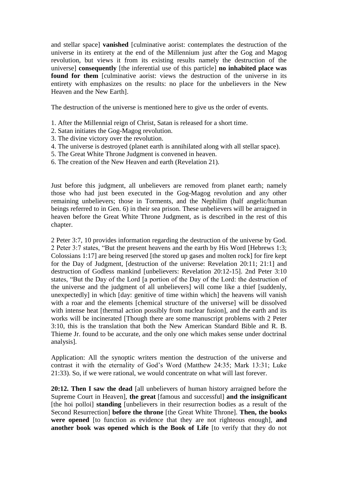and stellar space] **vanished** [culminative aorist: contemplates the destruction of the universe in its entirety at the end of the Millennium just after the Gog and Magog revolution, but views it from its existing results namely the destruction of the universe] **consequently** [the inferential use of this particle] **no inhabited place was**  found for them [culminative aorist: views the destruction of the universe in its entirety with emphasizes on the results: no place for the unbelievers in the New Heaven and the New Earth].

The destruction of the universe is mentioned here to give us the order of events.

- 1. After the Millennial reign of Christ*,* Satan is released for a short time.
- 2. Satan initiates the Gog-Magog revolution.
- 3. The divine victory over the revolution.
- 4. The universe is destroyed (planet earth is annihilated along with all stellar space).
- 5. The Great White Throne Judgment is convened in heaven.
- 6. The creation of the New Heaven and earth (Revelation 21).

Just before this judgment, all unbelievers are removed from planet earth; namely those who had just been executed in the Gog-Magog revolution and any other remaining unbelievers; those in Torments, and the Nephilim (half angelic/human beings referred to in Gen. 6) in their sea prison. These unbelievers will be arraigned in heaven before the Great White Throne Judgment, as is described in the rest of this chapter.

2 Peter 3:7, 10 provides information regarding the destruction of the universe by God. 2 Peter 3:7 states, "But the present heavens and the earth by His Word [Hebrews 1:3; Colossians 1:17] are being reserved [the stored up gases and molten rock] for fire kept for the Day of Judgment, [destruction of the universe: Revelation 20:11; 21:1] and destruction of Godless mankind [unbelievers: Revelation 20:12-15]. 2nd Peter 3:10 states, "But the Day of the Lord [a portion of the Day of the Lord: the destruction of the universe and the judgment of all unbelievers] will come like a thief [suddenly, unexpectedly] in which [day: genitive of time within which] the heavens will vanish with a roar and the elements [chemical structure of the universe] will be dissolved with intense heat [thermal action possibly from nuclear fusion], and the earth and its works will be incinerated [Though there are some manuscript problems with 2 Peter 3:10, this is the translation that both the New American Standard Bible and R. B. Thieme Jr. found to be accurate, and the only one which makes sense under doctrinal analysis]*.*

Application: All the synoptic writers mention the destruction of the universe and contrast it with the eternality of God"s Word (Matthew 24:35; Mark 13:31; Luke 21:33). So, if we were rational, we would concentrate on what will last forever.

**20:12. Then I saw the dead** [all unbelievers of human history arraigned before the Supreme Court in Heaven], **the great** [famous and successful] **and the insignificant**  [the hoi polloi] **standing** [unbelievers in their resurrection bodies as a result of the Second Resurrection] **before the throne** [the Great White Throne]. **Then, the books were opened** [to function as evidence that they are not righteous enough], **and another book was opened which is the Book of Life** [to verify that they do not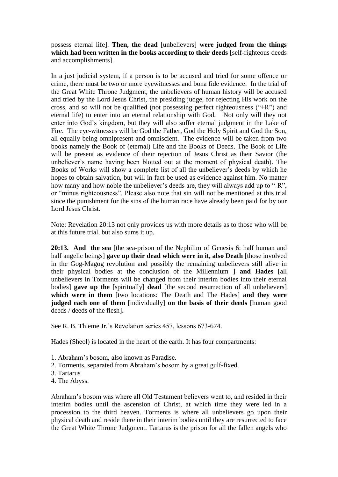possess eternal life]. **Then, the dead** [unbelievers] **were judged from the things which had been written in the books according to their deeds** [self-righteous deeds and accomplishments].

In a just judicial system, if a person is to be accused and tried for some offence or crime, there must be two or more eyewitnesses and bona fide evidence. In the trial of the Great White Throne Judgment, the unbelievers of human history will be accused and tried by the Lord Jesus Christ, the presiding judge, for rejecting His work on the cross, and so will not be qualified (not possessing perfect righteousness ("+R") and eternal life) to enter into an eternal relationship with God. Not only will they not enter into God"s kingdom, but they will also suffer eternal judgment in the Lake of Fire. The eye-witnesses will be God the Father, God the Holy Spirit and God the Son, all equally being omnipresent and omniscient. The evidence will be taken from two books namely the Book of (eternal) Life and the Books of Deeds. The Book of Life will be present as evidence of their rejection of Jesus Christ as their Savior (the unbeliever"s name having been blotted out at the moment of physical death). The Books of Works will show a complete list of all the unbeliever's deeds by which he hopes to obtain salvation, but will in fact be used as evidence against him. No matter how many and how noble the unbeliever's deeds are, they will always add up to "-R". or "minus righteousness". Please also note that sin will not be mentioned at this trial since the punishment for the sins of the human race have already been paid for by our Lord Jesus Christ.

Note: Revelation 20:13 not only provides us with more details as to those who will be at this future trial, but also sums it up.

**20:13. And the sea** [the sea-prison of the Nephilim of Genesis 6: half human and half angelic beings] **gave up their dead which were in it, also Death** [those involved in the Gog-Magog revolution and possibly the remaining unbelievers still alive in their physical bodies at the conclusion of the Millennium ] **and Hades** [all unbelievers in Torments will be changed from their interim bodies into their eternal bodies] **gave up the** [spiritually] **dead** [the second resurrection of all unbelievers] **which were in them** [two locations: The Death and The Hades] **and they were judged each one of them** [individually] **on the basis of their deeds** [human good deeds / deeds of the flesh]**.** 

See R. B. Thieme Jr.'s Revelation series 457, lessons 673-674.

Hades (Sheol) is located in the heart of the earth. It has four compartments:

- 1. Abraham"s bosom, also known as Paradise.
- 2. Torments, separated from Abraham"s bosom by a great gulf-fixed.
- 3. Tartarus
- 4. The Abyss.

Abraham"s bosom was where all Old Testament believers went to, and resided in their interim bodies until the ascension of Christ, at which time they were led in a procession to the third heaven. Torments is where all unbelievers go upon their physical death and reside there in their interim bodies until they are resurrected to face the Great White Throne Judgment. Tartarus is the prison for all the fallen angels who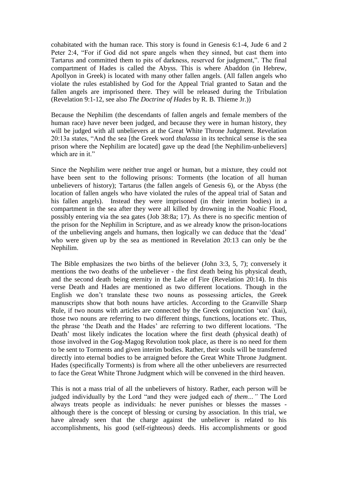cohabitated with the human race. This story is found in Genesis 6:1-4, Jude 6 and 2 Peter 2:4, "For if God did not spare angels when they sinned, but cast them into Tartarus and committed them to pits of darkness, reserved for judgment,". The final compartment of Hades is called the Abyss. This is where Abaddon (in Hebrew, Apollyon in Greek) is located with many other fallen angels. (All fallen angels who violate the rules established by God for the Appeal Trial granted to Satan and the fallen angels are imprisoned there. They will be released during the Tribulation (Revelation 9:1-12, see also *The Doctrine of Hades* by R. B. Thieme Jr.))

Because the Nephilim (the descendants of fallen angels and female members of the human race) have never been judged, and because they were in human history, they will be judged with all unbelievers at the Great White Throne Judgment. Revelation 20:13a states, "And the sea [the Greek word *thalassa* in its technical sense is the sea prison where the Nephilim are located] gave up the dead [the Nephilim-unbelievers] which are in it."

Since the Nephilim were neither true angel or human, but a mixture, they could not have been sent to the following prisons: Torments (the location of all human unbelievers of history); Tartarus (the fallen angels of Genesis 6), or the Abyss (the location of fallen angels who have violated the rules of the appeal trial of Satan and his fallen angels). Instead they were imprisoned (in their interim bodies) in a compartment in the sea after they were all killed by drowning in the Noahic Flood, possibly entering via the sea gates (Job 38:8a; 17). As there is no specific mention of the prison for the Nephilim in Scripture, and as we already know the prison-locations of the unbelieving angels and humans, then logically we can deduce that the "dead" who were given up by the sea as mentioned in Revelation 20:13 can only be the Nephilim.

The Bible emphasizes the two births of the believer (John 3:3, 5, 7); conversely it mentions the two deaths of the unbeliever - the first death being his physical death, and the second death being eternity in the Lake of Fire (Revelation 20:14). In this verse Death and Hades are mentioned as two different locations. Though in the English we don"t translate these two nouns as possessing articles, the Greek manuscripts show that both nouns have articles. According to the Granville Sharp Rule, if two nouns with articles are connected by the Greek conjunction "και" (kai), those two nouns are referring to two different things, functions, locations etc. Thus, the phrase "the Death and the Hades" are referring to two different locations. "The Death' most likely indicates the location where the first death (physical death) of those involved in the Gog-Magog Revolution took place, as there is no need for them to be sent to Torments and given interim bodies. Rather, their souls will be transferred directly into eternal bodies to be arraigned before the Great White Throne Judgment. Hades (specifically Torments) is from where all the other unbelievers are resurrected to face the Great White Throne Judgment which will be convened in the third heaven.

This is not a mass trial of all the unbelievers of history. Rather, each person will be judged individually by the Lord "and they were judged each *of them…"* The Lord always treats people as individuals: he never punishes or blesses the masses although there is the concept of blessing or cursing by association. In this trial, we have already seen that the charge against the unbeliever is related to his accomplishments, his good (self-righteous) deeds. His accomplishments or good